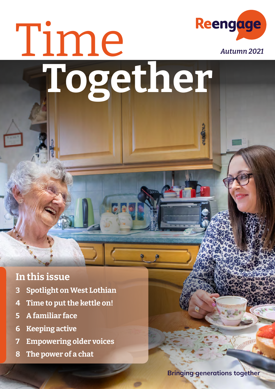# Time Reengage **Together**

#### **In this issue**

- **[3](#page-1-0) Spotlight on West Lothian**
- **4 [Time to put the kettle on!](#page-2-0)**
- **5 [A](#page-3-0) familiar face**
- **[6](#page-3-0) Keeping active**
- **[7](#page-4-0) Empowering older voices**
- **8 [The power of a chat](#page-4-0)**

**Bringing generations together**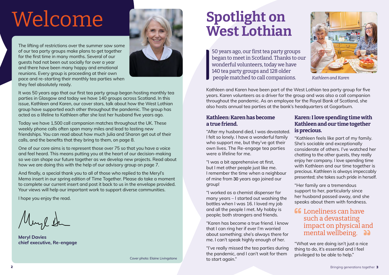## <span id="page-1-0"></span>Welcome

The lifting of restrictions over the summer saw some of our tea party groups make plans to get together for the first time in many months. Several of our guests had not been out socially for over a year and there have been many happy and emotional reunions. Every group is proceeding at their own pace and re-starting their monthly tea parties when they feel absolutely ready.



It was 50 years ago that our first tea party group began hosting monthly tea parties in Glasgow and today we have 140 groups across Scotland. In this issue, Kathleen and Karen, our cover stars, talk about how the West Lothian group have supported each other throughout the pandemic. The group has acted as a lifeline to Kathleen after she lost her husband five years ago.

Today we have 1,500 call companion matches throughout the UK. These weekly phone calls often span many miles and lead to lasting new friendships. You can read about how much Julia and Sharon get out of their calls, and the benefits that they bring to them, on page 8.

One of our core aims is to represent those over 75 so that you have a voice and feel heard. This means putting you at the heart of our decision-making so we can shape our future together as we develop new projects. Read about how we are doing this with the help of our advisory group on page 7.

And finally, a special thank you to all of those who replied to the Meryl's Memo insert in our spring edition of Time Together. Please do take a moment to complete our current insert and post it back to us in the envelope provided. Your views will help our important work to support diverse communities.

I hope you enjoy the read.

**Meryl Davies chief executive, Re-engage**

50 years ago, our first tea party groups began to meet in Scotland. Thanks to our wonderful volunteers, today we have 140 tea party groups and 128 older people matched to call companions.

Kathleen and Karen have been part of the West Lothian tea party group for five years. Karen volunteers as a driver for the group and was also a call companion throughout the pandemic. As an employee for the Royal Bank of Scotland, she also hosts annual tea parties at the bank's headquarters at Gogarburn.

### **Spotlight on West Lothian**



*Kathleen and Karen*

#### **Kathleen: Karen has become a true friend.**

"After my husband died, I was devastated. I felt so lonely. I have a wonderful family who support me, but they've got their own lives. The Re-engage tea parties were a lifeline for me.

"I was a bit apprehensive at first, but I met other people just like me. I remember the time when a neighbour of mine from 30 years ago joined our group!

"I worked as a chemist dispenser for many years – I started out washing the bottles when I was 16. I loved my job and all the people I met. My hobby is people; both strangers and friends.

"Karen has become a true friend. I know that I can ring her if ever I'm worried about something; she's always there for me. I can't speak highly enough of her.

"I've really missed the tea parties during the pandemic, and I can't wait for them to start again."

#### **Karen: I love spending time with Kathleen and our time together is precious.**

"Kathleen feels like part of my family. She's sociable and exceptionally considerate of others. I've watched her chatting to the other guests, they really enjoy her company. I love spending time with Kathleen and our time together is precious. Kathleen is always impeccably presented; she takes such pride in herself.

"Her family are a tremendous support to her, particularly since her husband passed away, and she speaks about them with fondness.

#### **66** Loneliness can have such a devastating impact on physical and mental wellbeing. a

"What we are doing isn't just a nice thing to do, it's essential and I feel privileged to be able to help."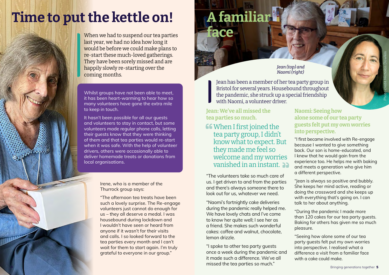### **A familiar face**

**Jean: We've all missed the tea parties so much.**

**CC** When I first joined the tea party group, I didn't know what to expect. But they made me feel so welcome and my worries vanished in an instant.

"The volunteers take so much care of us. I get driven to and from the parties and there's always someone there to look out for us, whatever we need.

"Naomi's fortnightly cake deliveries during the pandemic really helped me. We have lovely chats and I've come to know her quite well; I see her as a friend. She makes such wonderful cakes: coffee and walnut, chocolate, lemon drizzle.

"I spoke to other tea party guests once a week during the pandemic and it made such a difference. We've all missed the tea parties so much."

#### **Naomi: Seeing how alone some of our tea party guests felt put my own worries into perspective.**

"I first became involved with Re-engage because I wanted to give something back. Our son is home-educated, and I knew that he would gain from the experience too. He helps me with baking and meets a generation who give him a different perspective.

When we had to suspend our tea parties last year, we had no idea how long it would be before we could make plans to re-start these much-loved gatherings. They have been sorely missed and are happily slowly re-starting over the coming months.

> "Jean is always so positive and bubbly. She keeps her mind active, reading or doing the crossword and she keeps up with everything that's going on. I can talk to her about anything.

"During the pandemic I made more than 120 cakes for our tea party guests. Baking for others has given me so much pleasure.

"Seeing how alone some of our tea party guests felt put my own worries into perspective. I realised what a difference a visit from a familiar face with a cake could make.

Jean has been a member of her tea party group in Bristol for several years. Housebound throughout the pandemic, she struck up a special friendship with Naomi, a volunteer driver.

Whilst groups have not been able to meet, it has been heart-warming to hear how so many volunteers have gone the extra mile to keep in touch.

It hasn't been possible for all our guests and volunteers to stay in contact, but some volunteers made regular phone calls, letting their guests know that they were thinking of them and that tea parties would re-start when it was safe. With the help of volunteer drivers, others were occasionally able to deliver homemade treats or donations from local organisations.

*Jean (top) and Naomi (right)*

Irene, who is a member of the Thurrock group says:

"The afternoon tea treats have been such a lovely surprise. The Re-engage volunteers just cannot do enough for us – they all deserve a medal. I was housebound during lockdown and I wouldn't have seen or heard from anyone if it wasn't for their visits and calls. I so looked forward to the tea parties every month and I can't wait for them to start again. I'm truly grateful to everyone in our group."

Photo credit Nicholas Dawkes

### <span id="page-2-0"></span>**Time to put the kettle on!**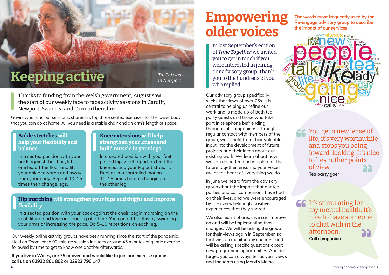#### **Ankle stretches will help your flexibility and balance.**

In a seated position with your back against the chair, lift one leg off the floor and lift your ankle towards and away from your body. Repeat 10–15 times then change legs.

#### **Knee extensions will help strengthen your knees and build muscle in your legs.**

In a seated position with your feet placed hip-width apart, extend the knee putting your leg out straight. Repeat in a controlled motion 10–15 times before changing to the other leg.

Gavin, who runs our sessions, shares his top three seated exercises for the lower body that you can do at home. All you need is a stable chair and an arm's length of space.

Our weekly online activity groups have been running since the start of the pandemic. Held on Zoom, each 90-minute session includes around 45 minutes of gentle exercise followed by time to get to know one another afterwards.

**If you live in Wales, are 75 or over, and would like to join our exercise groups, call us on 02922 801 802 or 02922 790 147.**

Thanks to funding from the Welsh government, August saw the start of our weekly face to face activity sessions in Cardiff, Newport, Swansea and Carmarthenshire.

**Hip marching will strengthen your hips and thighs and improve flexibility.** 

In a seated position with your back against the chair, begin marching on the spot, lifting and lowering one leg at a time. You can add to this by swinging your arms or increasing the pace. Do 5–10 repetitions on each leg.

### **Empowering older voices**

**If** It's stimulating for my mental health. It's nice to have someone to chat with in the afternoon. **Call companion**

Our advisory group specifically seeks the views of over 75s. It is central to helping us refine our work and is made up of both tea party guests and those who take part in telephone befriending through call companions. Through regular contact with members of the group, we benefit from their valuable input into the development of future projects and their ideas about our existing work. We learn about how we can do better, and we plan for the future together, ensuring your voices are at the heart of everything we do.

In June we heard from the advisory group about the impact that our tea parties and call companions have had on their lives, and we were encouraged by the overwhelmingly positive experiences that they shared.

We also learnt of areas we can improve on and will be implementing those changes. We will be asking the group for their views again in September, so that we can monitor any changes, and will be asking specific questions about new programme opportunities. And don't forget, you can always tell us your views and thoughts using Meryl's Memo.

In last September's edition of *Time Together* we invited you to get in touch if you were interested in joining our advisory group. Thank you to the hundreds of you who replied.

**The words most frequently used by the Re-engage advisory group to describe the impact of our services:**



*Tai Chi class in Newport*

> You get a new lease of life, it's very worthwhile and stops you being inward-looking. It's nice to hear other points of view.

> > **Tea party goer**

### <span id="page-3-0"></span>**Keeping active**